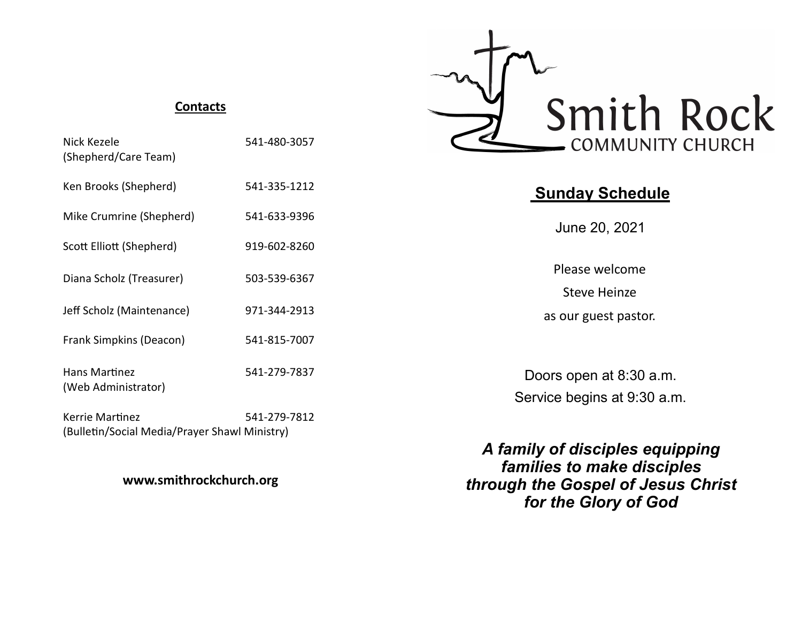#### **Contacts**

| Nick Kezele<br>(Shepherd/Care Team)                              | 541-480-3057 |
|------------------------------------------------------------------|--------------|
| Ken Brooks (Shepherd)                                            | 541-335-1212 |
| Mike Crumrine (Shepherd)                                         | 541-633-9396 |
| Scott Elliott (Shepherd)                                         | 919-602-8260 |
| Diana Scholz (Treasurer)                                         | 503-539-6367 |
| Jeff Scholz (Maintenance)                                        | 971-344-2913 |
| Frank Simpkins (Deacon)                                          | 541-815-7007 |
| Hans Martinez<br>(Web Administrator)                             | 541-279-7837 |
| Kerrie Martinez<br>(Bulletin/Social Media/Prayer Shawl Ministry) | 541-279-7812 |

## **www.smithrockchurch.org**



# **Sunday Schedule**

June 20, 2021

Please welcome Steve Heinze as our guest pastor.

Doors open at 8:30 a.m. Service begins at 9:30 a.m.

*A family of disciples equipping families to make disciples through the Gospel of Jesus Christ for the Glory of God*